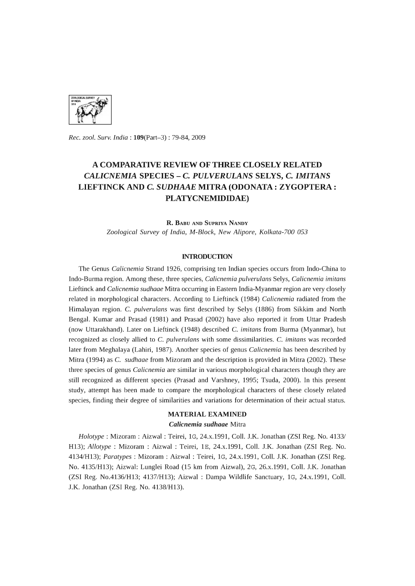

*Rec. zool. Surv. India:* 109(Part-3) : 79-84, 2009

# **A COMPARATIVE REVIEW OF THREE CLOSELY RELATED**  *CAL1CNEM1A* **SPECIES - C.** *PULVERULANS* **SELYS, C.** *1M1TANS*  **LIEFTINCK AND C.** *SUDHAAE* **MITRA (ODONATA : ZYGOPTERA : PLATYCNEMIDIDAE)**

**R.** BABU AND SUPRIYA NANDY *Zoological Survey* of *India, M-Block, New Alipore, Kolkata-700 053* 

#### **INTRODUCTION**

The Genus *Calicnemia* Strand 1926, comprising ten Indian species occurs from Indo-China to Indo-Burma region. Among these, three species, *Calicnemia pulverulans* Selys, *Calicnemia imitans*  Lieftinck and *Calicnemia sudhaae* Mitra occurring in Eastern India-Myanmar region are very closely related in morphological characters. According to Lieftinck (1984) *Calicnemia* radiated from the Himalayan region. C. *pulverulans* was first described by Selys (1886) from Sikkim and North Bengal. Kumar and Prasad (1981) and Prasad (2002) have also reported it from Uttar Pradesh (now Uttarakhand). Later on Lieftinck (1948) described C. *imitans* from Burma (Myanmar), but recognized as closely allied to C. *pulverulans* with some dissimilarities. C. *imitans* was recorded later from Meghalaya (Lahiri, 1987). Another species of genus *Calicnemia* has been described by Mitra (1994) as C. *sudhaae* from Mizoram and the description is provided in Mitra (2002). These three species of genus *Calicnemia* are similar in various morphological characters though they are still recognized as different species (Prasad and Varshney, 1995; Tsuda, 2000). In this present study, attempt has been made to compare the morphological characters of these closely related species, finding their degree of similarities and variations for determination of their actual status.

### **MATERIAL EXAMINED**

#### *Calicnemia sudhaae* Mitra

*Holotype* : Mizoram : Aizwal : Teirei, IG, 24.x.1991, ColI. J.K. Jonathan (ZSI Reg. No. 4133/ HI3); *Allotype:* Mizoram : Aizwal : Teirei, IE, 24.x.1991, ColI. J.K. Jonathan (ZSI Reg. No. 4134/HI3); *Para types* : Mizoram : Aizwal : Teirei, IG, 24.x.1991, ColI. J.K. Jonathan (ZSI Reg. No. 4135/HI3); Aizwal: Lunglei Road (15 km from Aizwal), 2G, 26.x.1991, ColI. J.K. Jonathan (ZSI Reg. No.4136/HI3; 4137/HI3); Aizwal : Dampa Wildlife Sanctuary, IG, 24.x.1991, ColI. J.K. Jonathan (ZSI Reg. No. 4138/HI3).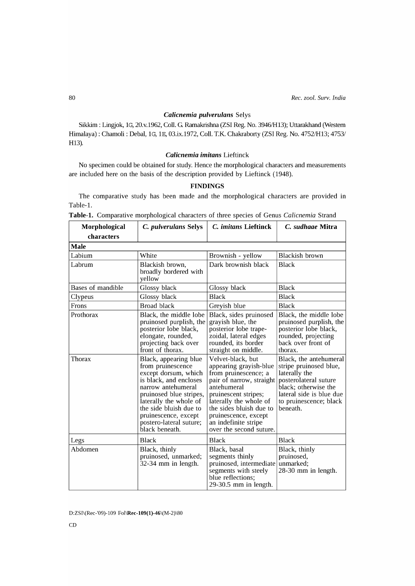## *Calicnemia pulverulans* Selys

Sikkim: Lingjok, IG, 20.v.1962, Coll. G. Ramakrishna (ZSI Reg. No. 3946/H13); Uttarakhand (Western Himalaya) : Chamoli : Debal, IG, IE, 03.ix.1972, ColI. T.K. Chakraborty (ZSI Reg. No. 4752/HI3; 4753/ H13).

### *Calicnemia imitans* Lieftinck

No specimen could be obtained for study. Hence the morphological characters and measurements are included here on the basis of the description provided by Lieftinck (1948).

## **FINDINGS**

The comparative study has been made and the morphological characters are provided in Table-I.

| Morphological     | C. pulverulans Selys                                                                                                                                                                                                                                                   | C. imitans Lieftinck                                                                                                                                                                                                                                                   | C. sudhaae Mitra                                                                                                                                                                     |  |
|-------------------|------------------------------------------------------------------------------------------------------------------------------------------------------------------------------------------------------------------------------------------------------------------------|------------------------------------------------------------------------------------------------------------------------------------------------------------------------------------------------------------------------------------------------------------------------|--------------------------------------------------------------------------------------------------------------------------------------------------------------------------------------|--|
| characters        |                                                                                                                                                                                                                                                                        |                                                                                                                                                                                                                                                                        |                                                                                                                                                                                      |  |
| Male              |                                                                                                                                                                                                                                                                        |                                                                                                                                                                                                                                                                        |                                                                                                                                                                                      |  |
| Labium            | White                                                                                                                                                                                                                                                                  | Brownish - yellow                                                                                                                                                                                                                                                      | Blackish brown                                                                                                                                                                       |  |
| Labrum            | Blackish brown,<br>broadly bordered with<br>yellow                                                                                                                                                                                                                     | Dark brownish black                                                                                                                                                                                                                                                    | <b>Black</b>                                                                                                                                                                         |  |
| Bases of mandible | Glossy black                                                                                                                                                                                                                                                           | Glossy black                                                                                                                                                                                                                                                           | <b>Black</b>                                                                                                                                                                         |  |
| Clypeus           | Glossy black                                                                                                                                                                                                                                                           | <b>Black</b>                                                                                                                                                                                                                                                           | <b>Black</b>                                                                                                                                                                         |  |
| Frons             | <b>Broad black</b>                                                                                                                                                                                                                                                     | Greyish blue                                                                                                                                                                                                                                                           | <b>Black</b>                                                                                                                                                                         |  |
| Prothorax         | Black, the middle lobe<br>pruinosed purplish, the<br>posterior lobe black,<br>elongate, rounded,<br>projecting back over<br>front of thorax.                                                                                                                           | Black, sides pruinosed<br>grayish blue, the<br>posterior lobe trape-<br>zoidal, lateral edges<br>rounded, its border<br>straight on middle.                                                                                                                            | Black, the middle lobe<br>pruinosed purplish, the<br>posterior lobe black,<br>rounded, projecting<br>back over front of<br>thorax.                                                   |  |
| Thorax            | Black, appearing blue<br>from pruinescence<br>except dorsum, which<br>is black, and encloses<br>narrow antehumeral<br>pruinosed blue stripes,<br>laterally the whole of<br>the side bluish due to<br>pruinescence, except<br>postero-lateral suture;<br>black beneath. | Velvet-black, but<br>appearing grayish-blue<br>from pruinescence; a<br>pair of narrow, straight<br>antehumeral<br>pruinescent stripes;<br>laterally the whole of<br>the sides bluish due to<br>pruinescence, except<br>an indefinite stripe<br>over the second suture. | Black, the antehumeral<br>stripe pruinosed blue,<br>laterally the<br>posterolateral suture<br>black; otherwise the<br>lateral side is blue due<br>to pruinescence; black<br>beneath. |  |
| Legs              | <b>Black</b>                                                                                                                                                                                                                                                           | <b>Black</b>                                                                                                                                                                                                                                                           | <b>Black</b>                                                                                                                                                                         |  |
| Abdomen           | Black, thinly<br>pruinosed, unmarked;<br>32-34 mm in length.                                                                                                                                                                                                           | Black, basal<br>segments thinly<br>pruinosed, intermediate<br>segments with steely<br>blue reflections;<br>29-30.5 mm in length.                                                                                                                                       | Black, thinly<br>pruinosed,<br>unmarked;<br>28-30 mm in length.                                                                                                                      |  |

|  | <b>Table-1.</b> Comparative morphological characters of three species of Genus Calicnemia Strand |  |  |  |
|--|--------------------------------------------------------------------------------------------------|--|--|--|
|  |                                                                                                  |  |  |  |

D:ZSI\(Rec-'09)-109 Fol\Rec-109(1)-46\(M-2)\80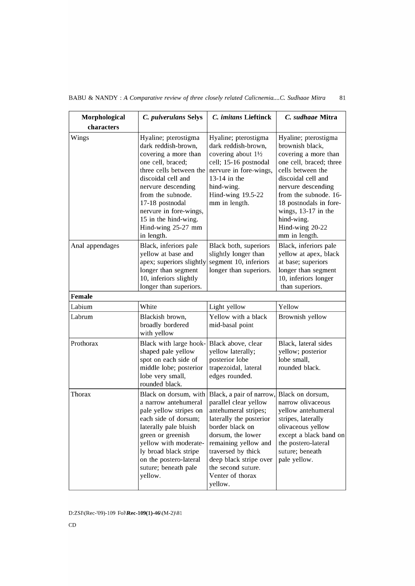| Morphological   | C. pulverulans Selys                                                                                                                                                                                                                                                                          | C. imitans Lieftinck                                                                                                                                                                                                                                                      | C. sudhaae Mitra                                                                                                                                                                                                                                                                          |  |
|-----------------|-----------------------------------------------------------------------------------------------------------------------------------------------------------------------------------------------------------------------------------------------------------------------------------------------|---------------------------------------------------------------------------------------------------------------------------------------------------------------------------------------------------------------------------------------------------------------------------|-------------------------------------------------------------------------------------------------------------------------------------------------------------------------------------------------------------------------------------------------------------------------------------------|--|
| characters      |                                                                                                                                                                                                                                                                                               |                                                                                                                                                                                                                                                                           |                                                                                                                                                                                                                                                                                           |  |
| Wings           | Hyaline; pterostigma<br>dark reddish-brown,<br>covering a more than<br>one cell, braced;<br>three cells between the<br>discoidal cell and<br>nervure descending<br>from the subnode.<br>17-18 postnodal<br>nervure in fore-wings,<br>15 in the hind-wing.<br>Hind-wing 25-27 mm<br>in length. | Hyaline; pterostigma<br>dark reddish-brown,<br>covering about 11/2<br>cell; 15-16 postnodal<br>nervure in fore-wings,<br>13-14 in the<br>hind-wing.<br>Hind-wing 19.5-22<br>mm in length.                                                                                 | Hyaline; pterostigma<br>brownish black,<br>covering a more than<br>one cell, braced; three<br>cells between the<br>discoidal cell and<br>nervure descending<br>from the subnode. 16-<br>18 postnodals in fore-<br>wings, $13-17$ in the<br>hind-wing.<br>Hind-wing 20-22<br>mm in length. |  |
| Anal appendages | Black, inferiors pale<br>yellow at base and<br>apex; superiors slightly<br>longer than segment<br>10, inferiors slightly<br>longer than superiors.                                                                                                                                            | Black both, superiors<br>slightly longer than<br>segment 10, inferiors<br>longer than superiors.                                                                                                                                                                          | Black, inferiors pale<br>yellow at apex, black<br>at base; superiors<br>longer than segment<br>10, inferiors longer<br>than superiors.                                                                                                                                                    |  |
| <b>Female</b>   |                                                                                                                                                                                                                                                                                               |                                                                                                                                                                                                                                                                           |                                                                                                                                                                                                                                                                                           |  |
| Labium          | White                                                                                                                                                                                                                                                                                         | Light yellow                                                                                                                                                                                                                                                              | Yellow                                                                                                                                                                                                                                                                                    |  |
| Labrum          | Blackish brown,<br>broadly bordered<br>with yellow                                                                                                                                                                                                                                            | Yellow with a black<br>mid-basal point                                                                                                                                                                                                                                    | Brownish yellow                                                                                                                                                                                                                                                                           |  |
| Prothorax       | Black with large hook-<br>shaped pale yellow<br>spot on each side of<br>middle lobe; posterior<br>lobe very small,<br>rounded black.                                                                                                                                                          | Black above, clear<br>yellow laterally;<br>posterior lobe<br>trapezoidal, lateral<br>edges rounded.                                                                                                                                                                       | Black, lateral sides<br>yellow; posterior<br>lobe small,<br>rounded black.                                                                                                                                                                                                                |  |
| Thorax          | Black on dorsum, with<br>a narrow antehumeral<br>pale yellow stripes on<br>each side of dorsum;<br>laterally pale bluish<br>green or greenish<br>yellow with moderate-<br>ly broad black stripe<br>on the postero-lateral<br>suture; beneath pale<br>yellow.                                  | Black, a pair of narrow,<br>parallel clear yellow<br>antehumeral stripes;<br>laterally the posterior<br>border black on<br>dorsum, the lower<br>remaining yellow and<br>traversed by thick<br>deep black stripe over<br>the second suture.<br>Venter of thorax<br>yellow. | Black on dorsum,<br>narrow olivaceous<br>yellow antehumeral<br>stripes, laterally<br>olivaceous yellow<br>except a black band on<br>the postero-lateral<br>suture; beneath<br>pale yellow.                                                                                                |  |

## BABU & NANDY: *A Comparative review of three closely related Calicnemia....C. Sudhaae Mitra* 81

D:ZSI\(Rec-'09)-109 Fol\Rec-109(1)-46\(M-2)\81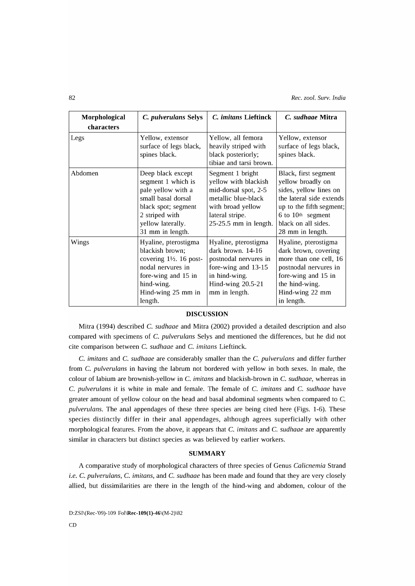82 *Rec. zool. Surv. India* 

| Morphological | C. pulverulans Selys                                                                                                                                                     | C. imitans Lieftinck                                                                                                                                     | C. sudhaae Mitra                                                                                                                                                                            |
|---------------|--------------------------------------------------------------------------------------------------------------------------------------------------------------------------|----------------------------------------------------------------------------------------------------------------------------------------------------------|---------------------------------------------------------------------------------------------------------------------------------------------------------------------------------------------|
| characters    |                                                                                                                                                                          |                                                                                                                                                          |                                                                                                                                                                                             |
| Legs          | Yellow, extensor<br>surface of legs black,<br>spines black.                                                                                                              | Yellow, all femora<br>heavily striped with<br>black posteriorly;<br>tibiae and tarsi brown.                                                              | Yellow, extensor<br>surface of legs black,<br>spines black.                                                                                                                                 |
| Abdomen       | Deep black except<br>segment 1 which is<br>pale yellow with a<br>small basal dorsal<br>black spot; segment<br>2 striped with<br>yellow laterally.<br>31 mm in length.    | Segment 1 bright<br>yellow with blackish<br>mid-dorsal spot, 2-5<br>metallic blue-black<br>with broad yellow<br>lateral stripe.<br>25-25.5 mm in length. | Black, first segment<br>yellow broadly on<br>sides, yellow lines on<br>the lateral side extends<br>up to the fifth segment;<br>6 to 10th segment<br>black on all sides.<br>28 mm in length. |
| Wings         | Hyaline, pterostigma<br>blackish brown;<br>covering $1\frac{1}{2}$ . 16 post-<br>nodal nervures in<br>fore-wing and 15 in<br>hind-wing.<br>Hind-wing 25 mm in<br>length. | Hyaline, pterostigma<br>dark brown. 14-16<br>postnodal nervures in<br>fore-wing and 13-15<br>in hind-wing.<br>Hind-wing 20.5-21<br>mm in length.         | Hyaline, pterostigma<br>dark brown, covering<br>more than one cell, 16<br>postnodal nervures in<br>fore-wing and 15 in<br>the hind-wing.<br>Hind-wing 22 mm<br>in length.                   |

### DISCUSSION

Mitra (1994) described C. *sudhaae* and Mitra (2002) provided a detailed description and also compared with specimens of C. *pulverulans* Selys and mentioned the differences, but he did not cite comparison between C. *sudhaae* and C. *imitans* Lieftinck.

C. *imitans* and C. *sudhaae* are considerably smaller than the C. *pulverulans* and differ further from C. *pulverulans* in having the labrum not bordered with yellow in both sexes. In male, the colour of labium are brownish-yellow in C. *imitans* and blackish-brown in C. *sudhaae,* whereas in C. *pulverulans* it is white in male and female. The female of C. *imitans* and C. *sudhaae* have greater amount of yellow colour on the head and basal abdominal segments when compared to C. *pulverulans.* The anal appendages of these three species are being cited here (Figs. 1-6). These species distinctly differ in their anal appendages, although agrees superficially with other morphological features. From the above, it appears that C. *imitans* and C. *sudhaae* are apparently similar in characters but distinct species as was believed by earlier workers.

#### **SUMMARY**

A comparative study of morphological characters of three species of Genus *Calicnemia* Strand *i.e.* C. *pulverulans,* C. *imitans,* and C. *sudhaae* has been made and found that they are very closely allied, but dissimilarities are there in the length of the hind-wing and abdomen, colour of the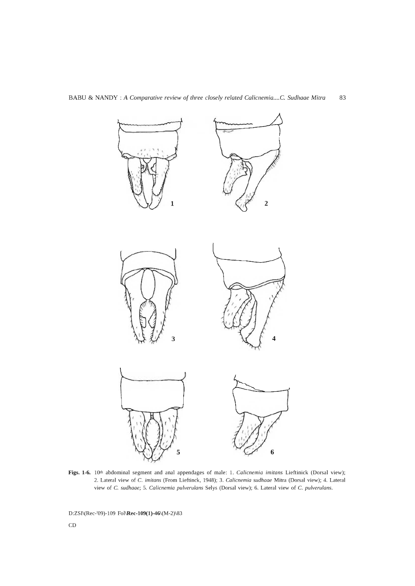

**Figs. 1-6.** 10th abdominal segment and anal appendages of male: 1. *Calicnemia imitans* Lieftinick (Dorsal view); 2. Lateral view of C. *imitans* (From Lieftinck, 1948); 3. *Calicnemia sudhaae* Mitra (Dorsal view); 4. Lateral view of C. *sudhaae;* 5. *Calicnemia pulverulans* Selys (Dorsal view); 6. Lateral view of C. *pulverulans.* 

D:ZSI\(Rec-'09)-109 Fol\Rec-l09(1)-46\(M-2)\83